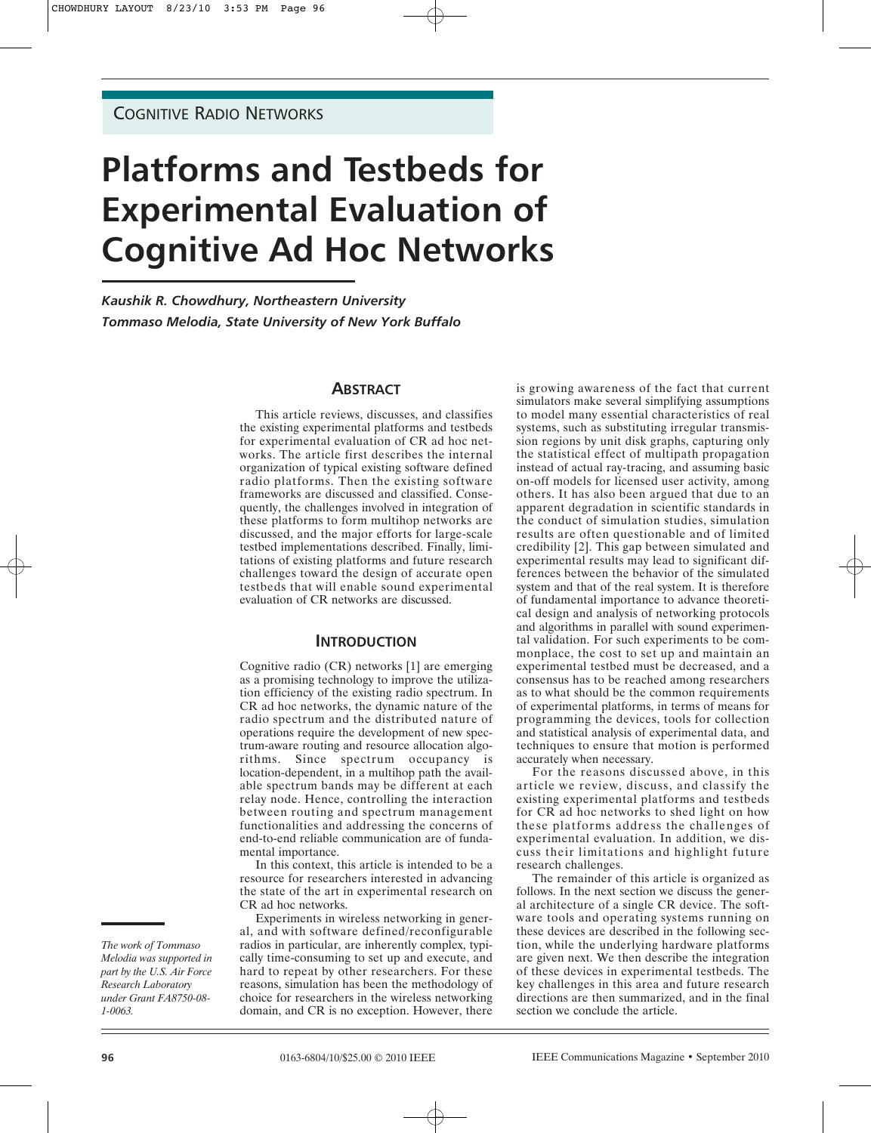# **Platforms and Testbeds for Experimental Evaluation of Cognitive Ad Hoc Networks**

*Kaushik R. Chowdhury, Northeastern University Tommaso Melodia, State University of New York Buffalo*

#### **ABSTRACT**

This article reviews, discusses, and classifies the existing experimental platforms and testbeds for experimental evaluation of CR ad hoc networks. The article first describes the internal organization of typical existing software defined radio platforms. Then the existing software frameworks are discussed and classified. Consequently, the challenges involved in integration of these platforms to form multihop networks are discussed, and the major efforts for large-scale testbed implementations described. Finally, limitations of existing platforms and future research challenges toward the design of accurate open testbeds that will enable sound experimental evaluation of CR networks are discussed.

#### **INTRODUCTION**

Cognitive radio (CR) networks [1] are emerging as a promising technology to improve the utilization efficiency of the existing radio spectrum. In CR ad hoc networks, the dynamic nature of the radio spectrum and the distributed nature of operations require the development of new spectrum-aware routing and resource allocation algorithms. Since spectrum occupancy is location-dependent, in a multihop path the available spectrum bands may be different at each relay node. Hence, controlling the interaction between routing and spectrum management functionalities and addressing the concerns of end-to-end reliable communication are of fundamental importance.

In this context, this article is intended to be a resource for researchers interested in advancing the state of the art in experimental research on CR ad hoc networks.

Experiments in wireless networking in general, and with software defined/reconfigurable radios in particular, are inherently complex, typically time-consuming to set up and execute, and hard to repeat by other researchers. For these reasons, simulation has been the methodology of choice for researchers in the wireless networking domain, and CR is no exception. However, there is growing awareness of the fact that current simulators make several simplifying assumptions to model many essential characteristics of real systems, such as substituting irregular transmission regions by unit disk graphs, capturing only the statistical effect of multipath propagation instead of actual ray-tracing, and assuming basic on-off models for licensed user activity, among others. It has also been argued that due to an apparent degradation in scientific standards in the conduct of simulation studies, simulation results are often questionable and of limited credibility [2]. This gap between simulated and experimental results may lead to significant differences between the behavior of the simulated system and that of the real system. It is therefore of fundamental importance to advance theoretical design and analysis of networking protocols and algorithms in parallel with sound experimental validation. For such experiments to be commonplace, the cost to set up and maintain an experimental testbed must be decreased, and a consensus has to be reached among researchers as to what should be the common requirements of experimental platforms, in terms of means for programming the devices, tools for collection and statistical analysis of experimental data, and techniques to ensure that motion is performed accurately when necessary.

For the reasons discussed above, in this article we review, discuss, and classify the existing experimental platforms and testbeds for CR ad hoc networks to shed light on how these platforms address the challenges of experimental evaluation. In addition, we discuss their limitations and highlight future research challenges.

The remainder of this article is organized as follows. In the next section we discuss the general architecture of a single CR device. The software tools and operating systems running on these devices are described in the following section, while the underlying hardware platforms are given next. We then describe the integration of these devices in experimental testbeds. The key challenges in this area and future research directions are then summarized, and in the final section we conclude the article.

*The work of Tommaso Melodia was supported in part by the U.S. Air Force Research Laboratory under Grant FA8750-08- 1-0063.*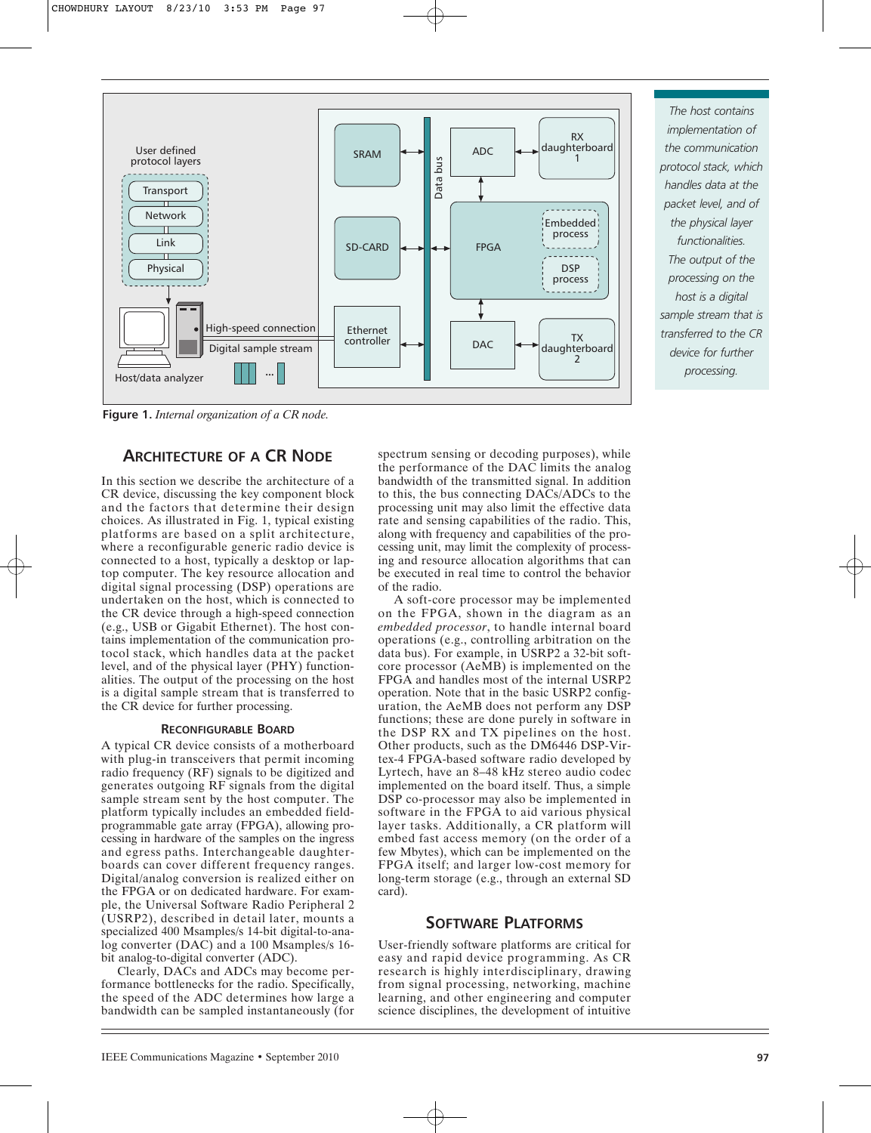

**Figure 1.** *Internal organization of a CR node.*

## **ARCHITECTURE OF A CR NODE**

In this section we describe the architecture of a CR device, discussing the key component block and the factors that determine their design choices. As illustrated in Fig. 1, typical existing platforms are based on a split architecture, where a reconfigurable generic radio device is connected to a host, typically a desktop or laptop computer. The key resource allocation and digital signal processing (DSP) operations are undertaken on the host, which is connected to the CR device through a high-speed connection (e.g., USB or Gigabit Ethernet). The host contains implementation of the communication protocol stack, which handles data at the packet level, and of the physical layer (PHY) functionalities. The output of the processing on the host is a digital sample stream that is transferred to the CR device for further processing.

#### **RECONFIGURABLE BOARD**

A typical CR device consists of a motherboard with plug-in transceivers that permit incoming radio frequency (RF) signals to be digitized and generates outgoing RF signals from the digital sample stream sent by the host computer. The platform typically includes an embedded fieldprogrammable gate array (FPGA), allowing processing in hardware of the samples on the ingress and egress paths. Interchangeable daughterboards can cover different frequency ranges. Digital/analog conversion is realized either on the FPGA or on dedicated hardware. For example, the Universal Software Radio Peripheral 2 (USRP2), described in detail later, mounts a specialized 400 Msamples/s 14-bit digital-to-analog converter (DAC) and a 100 Msamples/s 16 bit analog-to-digital converter (ADC).

Clearly, DACs and ADCs may become performance bottlenecks for the radio. Specifically, the speed of the ADC determines how large a bandwidth can be sampled instantaneously (for spectrum sensing or decoding purposes), while the performance of the DAC limits the analog bandwidth of the transmitted signal. In addition to this, the bus connecting DACs/ADCs to the processing unit may also limit the effective data rate and sensing capabilities of the radio. This, along with frequency and capabilities of the processing unit, may limit the complexity of processing and resource allocation algorithms that can be executed in real time to control the behavior of the radio.

A soft-core processor may be implemented on the FPGA, shown in the diagram as an *embedded processor*, to handle internal board operations (e.g., controlling arbitration on the data bus). For example, in USRP2 a 32-bit softcore processor (AeMB) is implemented on the FPGA and handles most of the internal USRP2 operation. Note that in the basic USRP2 configuration, the AeMB does not perform any DSP functions; these are done purely in software in the DSP RX and TX pipelines on the host. Other products, such as the DM6446 DSP-Virtex-4 FPGA-based software radio developed by Lyrtech, have an 8–48 kHz stereo audio codec implemented on the board itself. Thus, a simple DSP co-processor may also be implemented in software in the FPGA to aid various physical layer tasks. Additionally, a CR platform will embed fast access memory (on the order of a few Mbytes), which can be implemented on the FPGA itself; and larger low-cost memory for long-term storage (e.g., through an external SD card).

## **SOFTWARE PLATFORMS**

User-friendly software platforms are critical for easy and rapid device programming. As CR research is highly interdisciplinary, drawing from signal processing, networking, machine learning, and other engineering and computer science disciplines, the development of intuitive

*The host contains implementation of the communication protocol stack, which handles data at the packet level, and of the physical layer functionalities. The output of the processing on the host is a digital sample stream that is transferred to the CR device for further processing.*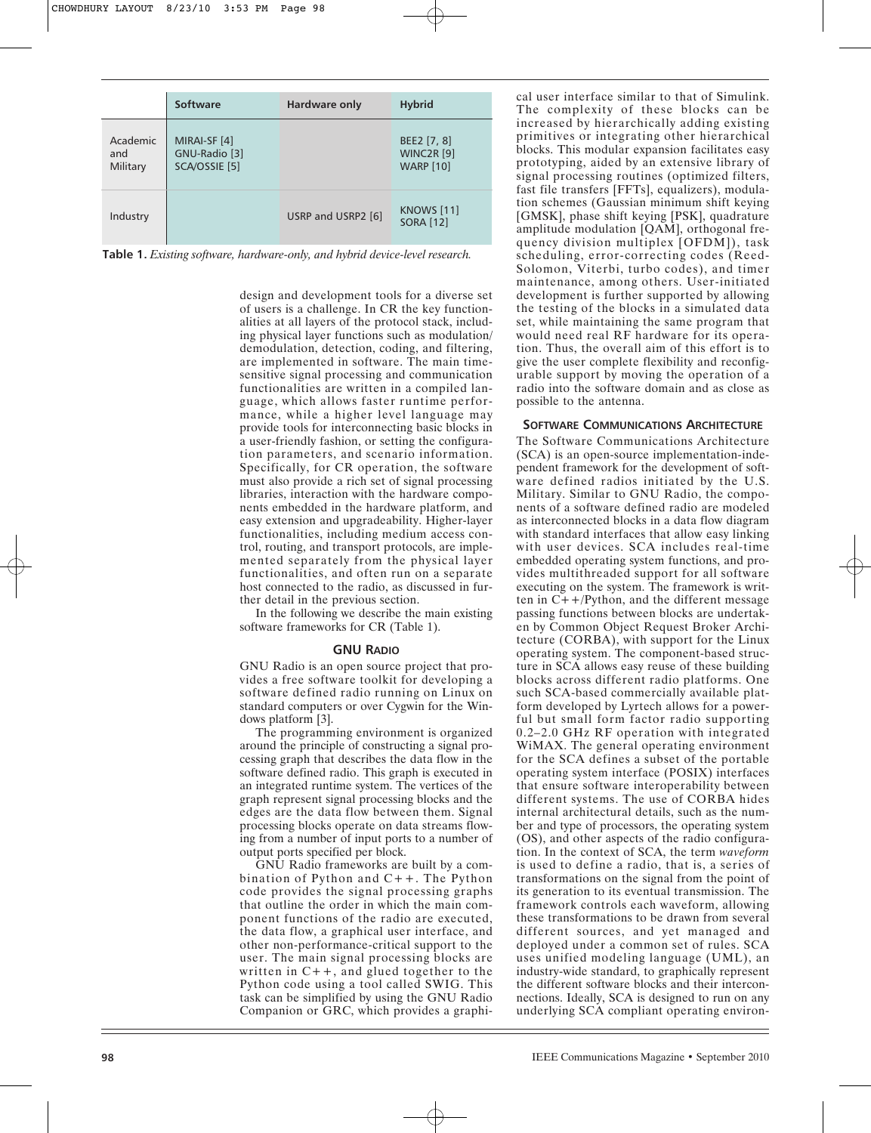|                             | <b>Software</b>                                | <b>Hardware only</b> | <b>Hybrid</b>                                        |
|-----------------------------|------------------------------------------------|----------------------|------------------------------------------------------|
| Academic<br>and<br>Military | MIRAI-SF [4]<br>GNU-Radio [3]<br>SCA/OSSIE [5] |                      | BEE2 [7, 8]<br><b>WINC2R [9]</b><br><b>WARP [10]</b> |
| Industry                    |                                                | USRP and USRP2 [6]   | <b>KNOWS [11]</b><br><b>SORA [12]</b>                |

**Table 1.** *Existing software, hardware-only, and hybrid device-level research.*

design and development tools for a diverse set of users is a challenge. In CR the key functionalities at all layers of the protocol stack, including physical layer functions such as modulation/ demodulation, detection, coding, and filtering, are implemented in software. The main timesensitive signal processing and communication functionalities are written in a compiled language, which allows faster runtime performance, while a higher level language may provide tools for interconnecting basic blocks in a user-friendly fashion, or setting the configuration parameters, and scenario information. Specifically, for CR operation, the software must also provide a rich set of signal processing libraries, interaction with the hardware components embedded in the hardware platform, and easy extension and upgradeability. Higher-layer functionalities, including medium access control, routing, and transport protocols, are implemented separately from the physical layer functionalities, and often run on a separate host connected to the radio, as discussed in further detail in the previous section.

In the following we describe the main existing software frameworks for CR (Table 1).

#### **GNU RADIO**

GNU Radio is an open source project that provides a free software toolkit for developing a software defined radio running on Linux on standard computers or over Cygwin for the Windows platform [3].

The programming environment is organized around the principle of constructing a signal processing graph that describes the data flow in the software defined radio. This graph is executed in an integrated runtime system. The vertices of the graph represent signal processing blocks and the edges are the data flow between them. Signal processing blocks operate on data streams flowing from a number of input ports to a number of output ports specified per block.

GNU Radio frameworks are built by a combination of Python and C++. The Python code provides the signal processing graphs that outline the order in which the main component functions of the radio are executed, the data flow, a graphical user interface, and other non-performance-critical support to the user. The main signal processing blocks are written in  $C++$ , and glued together to the Python code using a tool called SWIG. This task can be simplified by using the GNU Radio Companion or GRC, which provides a graphical user interface similar to that of Simulink. The complexity of these blocks can be increased by hierarchically adding existing primitives or integrating other hierarchical blocks. This modular expansion facilitates easy prototyping, aided by an extensive library of signal processing routines (optimized filters, fast file transfers [FFTs], equalizers), modulation schemes (Gaussian minimum shift keying [GMSK], phase shift keying [PSK], quadrature amplitude modulation [QAM], orthogonal frequency division multiplex [OFDM]), task scheduling, error-correcting codes (Reed-Solomon, Viterbi, turbo codes), and timer maintenance, among others. User-initiated development is further supported by allowing the testing of the blocks in a simulated data set, while maintaining the same program that would need real RF hardware for its operation. Thus, the overall aim of this effort is to give the user complete flexibility and reconfigurable support by moving the operation of a radio into the software domain and as close as possible to the antenna.

#### **SOFTWARE COMMUNICATIONS ARCHITECTURE**

The Software Communications Architecture (SCA) is an open-source implementation-independent framework for the development of software defined radios initiated by the U.S. Military. Similar to GNU Radio, the components of a software defined radio are modeled as interconnected blocks in a data flow diagram with standard interfaces that allow easy linking with user devices. SCA includes real-time embedded operating system functions, and provides multithreaded support for all software executing on the system. The framework is written in  $C++/Python$ , and the different message passing functions between blocks are undertaken by Common Object Request Broker Architecture (CORBA), with support for the Linux operating system. The component-based structure in SCA allows easy reuse of these building blocks across different radio platforms. One such SCA-based commercially available platform developed by Lyrtech allows for a powerful but small form factor radio supporting 0.2–2.0 GHz RF operation with integrated WiMAX. The general operating environment for the SCA defines a subset of the portable operating system interface (POSIX) interfaces that ensure software interoperability between different systems. The use of CORBA hides internal architectural details, such as the number and type of processors, the operating system (OS), and other aspects of the radio configuration. In the context of SCA, the term *waveform* is used to define a radio, that is, a series of transformations on the signal from the point of its generation to its eventual transmission. The framework controls each waveform, allowing these transformations to be drawn from several different sources, and yet managed and deployed under a common set of rules. SCA uses unified modeling language (UML), an industry-wide standard, to graphically represent the different software blocks and their interconnections. Ideally, SCA is designed to run on any underlying SCA compliant operating environ-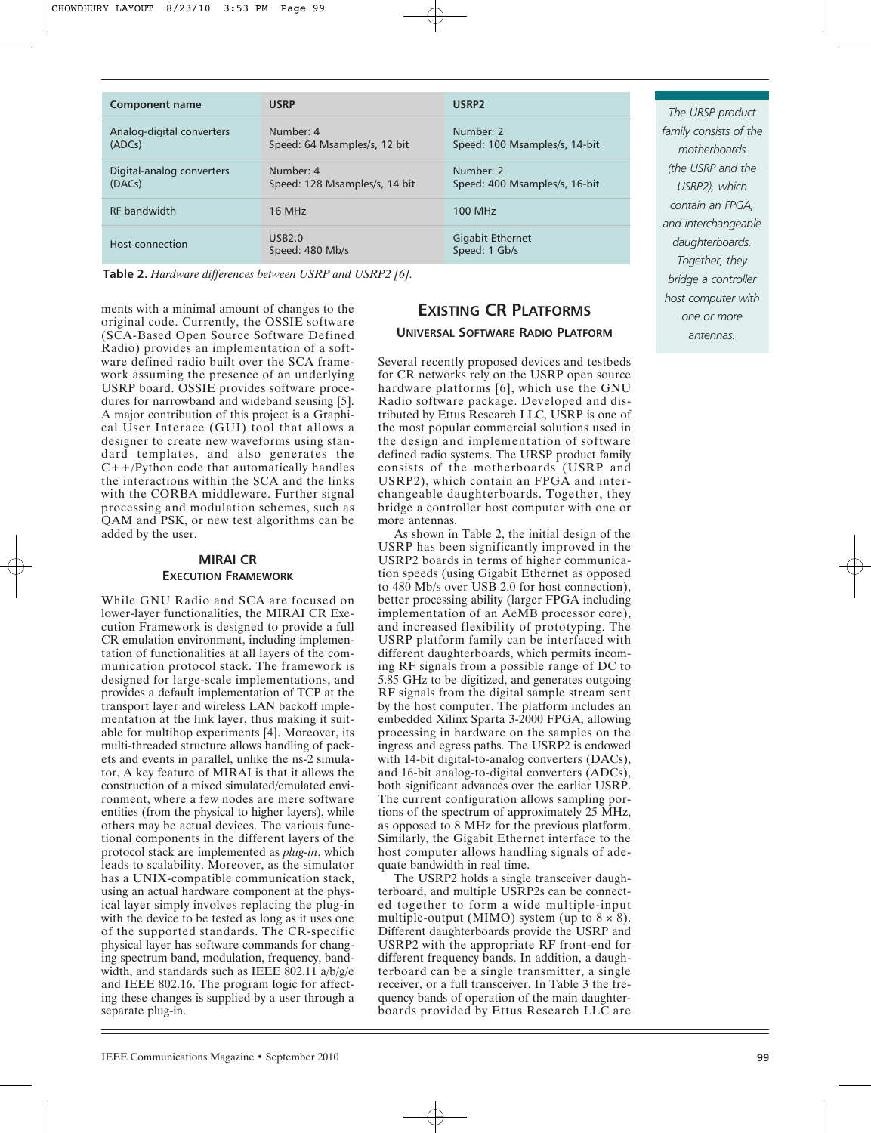| <b>Component name</b>               | <b>USRP</b>                                | USRP <sub>2</sub>                          |
|-------------------------------------|--------------------------------------------|--------------------------------------------|
| Analog-digital converters<br>(ADCs) | Number: 4<br>Speed: 64 Msamples/s, 12 bit  | Number: 2<br>Speed: 100 Msamples/s, 14-bit |
| Digital-analog converters<br>(DACs) | Number: 4<br>Speed: 128 Msamples/s, 14 bit | Number: 2<br>Speed: 400 Msamples/s, 16-bit |
| <b>RF</b> bandwidth                 | $16$ MH <sub>z</sub>                       | <b>100 MHz</b>                             |
| Host connection                     | USB2.0<br>Speed: 480 Mb/s                  | <b>Gigabit Ethernet</b><br>Speed: 1 Gb/s   |

**Table 2.** *Hardware differences between USRP and USRP2 [6].*

ments with a minimal amount of changes to the original code. Currently, the OSSIE software (SCA-Based Open Source Software Defined Radio) provides an implementation of a software defined radio built over the SCA framework assuming the presence of an underlying USRP board. OSSIE provides software procedures for narrowband and wideband sensing [5]. A major contribution of this project is a Graphical User Interace (GUI) tool that allows a designer to create new waveforms using standard templates, and also generates the  $C++/Python code that automatically handles$ the interactions within the SCA and the links with the CORBA middleware. Further signal processing and modulation schemes, such as QAM and PSK, or new test algorithms can be added by the user.

#### **MIRAI CR EXECUTION FRAMEWORK**

While GNU Radio and SCA are focused on lower-layer functionalities, the MIRAI CR Execution Framework is designed to provide a full CR emulation environment, including implementation of functionalities at all layers of the communication protocol stack. The framework is designed for large-scale implementations, and provides a default implementation of TCP at the transport layer and wireless LAN backoff implementation at the link layer, thus making it suitable for multihop experiments [4]. Moreover, its multi-threaded structure allows handling of packets and events in parallel, unlike the ns-2 simulator. A key feature of MIRAI is that it allows the construction of a mixed simulated/emulated environment, where a few nodes are mere software entities (from the physical to higher layers), while others may be actual devices. The various functional components in the different layers of the protocol stack are implemented as *plug-in*, which leads to scalability. Moreover, as the simulator has a UNIX-compatible communication stack, using an actual hardware component at the physical layer simply involves replacing the plug-in with the device to be tested as long as it uses one of the supported standards. The CR-specific physical layer has software commands for changing spectrum band, modulation, frequency, bandwidth, and standards such as IEEE  $\overline{802.11}$  a/b/g/e and IEEE 802.16. The program logic for affecting these changes is supplied by a user through a separate plug-in.

# **EXISTING CR PLATFORMS**

#### **UNIVERSAL SOFTWARE RADIO PLATFORM**

Several recently proposed devices and testbeds for CR networks rely on the USRP open source hardware platforms [6], which use the GNU Radio software package. Developed and distributed by Ettus Research LLC, USRP is one of the most popular commercial solutions used in the design and implementation of software defined radio systems. The URSP product family consists of the motherboards (USRP and USRP2), which contain an FPGA and interchangeable daughterboards. Together, they bridge a controller host computer with one or more antennas.

As shown in Table 2, the initial design of the USRP has been significantly improved in the USRP2 boards in terms of higher communication speeds (using Gigabit Ethernet as opposed to 480 Mb/s over USB 2.0 for host connection), better processing ability (larger FPGA including implementation of an AeMB processor core), and increased flexibility of prototyping. The USRP platform family can be interfaced with different daughterboards, which permits incoming RF signals from a possible range of DC to 5.85 GHz to be digitized, and generates outgoing RF signals from the digital sample stream sent by the host computer. The platform includes an embedded Xilinx Sparta 3-2000 FPGA, allowing processing in hardware on the samples on the ingress and egress paths. The USRP2 is endowed with 14-bit digital-to-analog converters (DACs), and 16-bit analog-to-digital converters (ADCs), both significant advances over the earlier USRP. The current configuration allows sampling portions of the spectrum of approximately 25 MHz, as opposed to 8 MHz for the previous platform. Similarly, the Gigabit Ethernet interface to the host computer allows handling signals of adequate bandwidth in real time.

The USRP2 holds a single transceiver daughterboard, and multiple USRP2s can be connected together to form a wide multiple-input multiple-output (MIMO) system (up to  $8 \times 8$ ). Different daughterboards provide the USRP and USRP2 with the appropriate RF front-end for different frequency bands. In addition, a daughterboard can be a single transmitter, a single receiver, or a full transceiver. In Table 3 the frequency bands of operation of the main daughterboards provided by Ettus Research LLC are

*The URSP product family consists of the motherboards (the USRP and the USRP2), which contain an FPGA, and interchangeable daughterboards. Together, they bridge a controller host computer with one or more antennas.*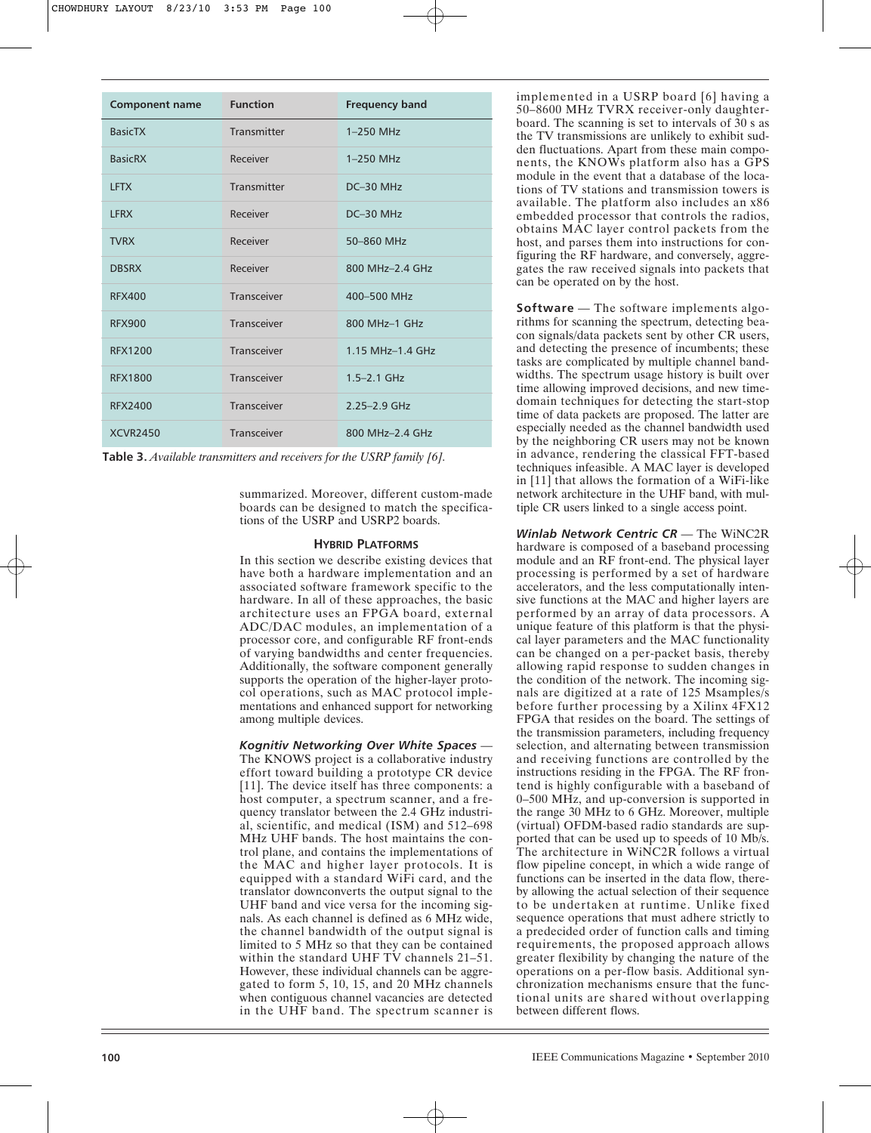| <b>Component name</b> | <b>Function</b>    | <b>Frequency band</b> |
|-----------------------|--------------------|-----------------------|
| <b>BasicTX</b>        | <b>Transmitter</b> | $1 - 250$ MHz         |
| <b>BasicRX</b>        | Receiver           | $1-250$ MHz           |
| <b>LFTX</b>           | Transmitter        | DC-30 MHz             |
| <b>LFRX</b>           | Receiver           | DC-30 MHz             |
| <b>TVRX</b>           | Receiver           | 50-860 MHz            |
| <b>DBSRX</b>          | Receiver           | 800 MHz-2.4 GHz       |
| <b>RFX400</b>         | Transceiver        | 400-500 MHz           |
| <b>RFX900</b>         | Transceiver        | 800 MHz-1 GHz         |
| <b>RFX1200</b>        | Transceiver        | 1.15 MHz-1.4 GHz      |
| <b>RFX1800</b>        | Transceiver        | $1.5 - 2.1$ GHz       |
| <b>RFX2400</b>        | <b>Transceiver</b> | $2.25 - 2.9$ GHz      |
| <b>XCVR2450</b>       | Transceiver        | 800 MHz-2.4 GHz       |

| <b>Table 3.</b> Available transmitters and receivers for the USRP family [6]. |  |  |
|-------------------------------------------------------------------------------|--|--|
|-------------------------------------------------------------------------------|--|--|

summarized. Moreover, different custom-made boards can be designed to match the specifications of the USRP and USRP2 boards.

#### **HYBRID PLATFORMS**

In this section we describe existing devices that have both a hardware implementation and an associated software framework specific to the hardware. In all of these approaches, the basic architecture uses an FPGA board, external ADC/DAC modules, an implementation of a processor core, and configurable RF front-ends of varying bandwidths and center frequencies. Additionally, the software component generally supports the operation of the higher-layer protocol operations, such as MAC protocol implementations and enhanced support for networking among multiple devices.

*Kognitiv Networking Over White Spaces* — The KNOWS project is a collaborative industry effort toward building a prototype CR device [11]. The device itself has three components: a host computer, a spectrum scanner, and a frequency translator between the 2.4 GHz industrial, scientific, and medical (ISM) and 512–698 MHz UHF bands. The host maintains the control plane, and contains the implementations of the MAC and higher layer protocols. It is equipped with a standard WiFi card, and the translator downconverts the output signal to the UHF band and vice versa for the incoming signals. As each channel is defined as 6 MHz wide, the channel bandwidth of the output signal is limited to 5 MHz so that they can be contained within the standard UHF TV channels 21-51. However, these individual channels can be aggregated to form 5, 10, 15, and 20 MHz channels when contiguous channel vacancies are detected in the UHF band. The spectrum scanner is implemented in a USRP board [6] having a 50–8600 MHz TVRX receiver-only daughterboard. The scanning is set to intervals of 30 s as the TV transmissions are unlikely to exhibit sudden fluctuations. Apart from these main components, the KNOWs platform also has a GPS module in the event that a database of the locations of TV stations and transmission towers is available. The platform also includes an x86 embedded processor that controls the radios, obtains MAC layer control packets from the host, and parses them into instructions for configuring the RF hardware, and conversely, aggregates the raw received signals into packets that can be operated on by the host.

**Software** — The software implements algorithms for scanning the spectrum, detecting beacon signals/data packets sent by other CR users, and detecting the presence of incumbents; these tasks are complicated by multiple channel bandwidths. The spectrum usage history is built over time allowing improved decisions, and new timedomain techniques for detecting the start-stop time of data packets are proposed. The latter are especially needed as the channel bandwidth used by the neighboring CR users may not be known in advance, rendering the classical FFT-based techniques infeasible. A MAC layer is developed in [11] that allows the formation of a WiFi-like network architecture in the UHF band, with multiple CR users linked to a single access point.

*Winlab Network Centric CR* — The WiNC2R hardware is composed of a baseband processing module and an RF front-end. The physical layer processing is performed by a set of hardware accelerators, and the less computationally intensive functions at the MAC and higher layers are performed by an array of data processors. A unique feature of this platform is that the physical layer parameters and the MAC functionality can be changed on a per-packet basis, thereby allowing rapid response to sudden changes in the condition of the network. The incoming signals are digitized at a rate of 125 Msamples/s before further processing by a Xilinx 4FX12 FPGA that resides on the board. The settings of the transmission parameters, including frequency selection, and alternating between transmission and receiving functions are controlled by the instructions residing in the FPGA. The RF frontend is highly configurable with a baseband of 0–500 MHz, and up-conversion is supported in the range 30 MHz to 6 GHz. Moreover, multiple (virtual) OFDM-based radio standards are supported that can be used up to speeds of 10 Mb/s. The architecture in WiNC2R follows a virtual flow pipeline concept, in which a wide range of functions can be inserted in the data flow, thereby allowing the actual selection of their sequence to be undertaken at runtime. Unlike fixed sequence operations that must adhere strictly to a predecided order of function calls and timing requirements, the proposed approach allows greater flexibility by changing the nature of the operations on a per-flow basis. Additional synchronization mechanisms ensure that the functional units are shared without overlapping between different flows.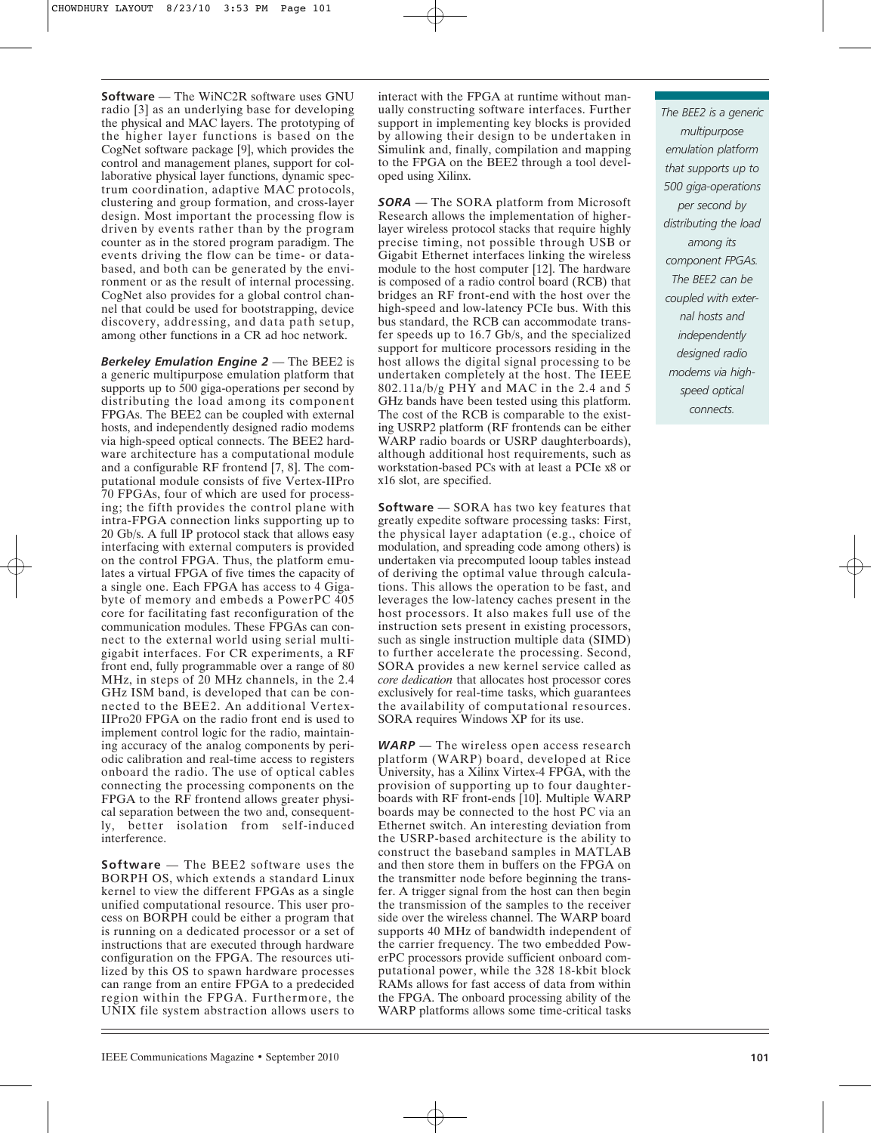**Software** — The WiNC2R software uses GNU radio [3] as an underlying base for developing the physical and MAC layers. The prototyping of the higher layer functions is based on the CogNet software package [9], which provides the control and management planes, support for collaborative physical layer functions, dynamic spectrum coordination, adaptive MAC protocols, clustering and group formation, and cross-layer design. Most important the processing flow is driven by events rather than by the program counter as in the stored program paradigm. The events driving the flow can be time- or databased, and both can be generated by the environment or as the result of internal processing. CogNet also provides for a global control channel that could be used for bootstrapping, device discovery, addressing, and data path setup, among other functions in a CR ad hoc network.

*Berkeley Emulation Engine 2* — The BEE2 is a generic multipurpose emulation platform that supports up to 500 giga-operations per second by distributing the load among its component FPGAs. The BEE2 can be coupled with external hosts, and independently designed radio modems via high-speed optical connects. The BEE2 hardware architecture has a computational module and a configurable RF frontend [7, 8]. The computational module consists of five Vertex-IIPro 70 FPGAs, four of which are used for processing; the fifth provides the control plane with intra-FPGA connection links supporting up to 20 Gb/s. A full IP protocol stack that allows easy interfacing with external computers is provided on the control FPGA. Thus, the platform emulates a virtual FPGA of five times the capacity of a single one. Each FPGA has access to 4 Gigabyte of memory and embeds a PowerPC 405 core for facilitating fast reconfiguration of the communication modules. These FPGAs can connect to the external world using serial multigigabit interfaces. For CR experiments, a RF front end, fully programmable over a range of 80 MHz, in steps of 20 MHz channels, in the 2.4 GHz ISM band, is developed that can be connected to the BEE2. An additional Vertex-IIPro20 FPGA on the radio front end is used to implement control logic for the radio, maintaining accuracy of the analog components by periodic calibration and real-time access to registers onboard the radio. The use of optical cables connecting the processing components on the FPGA to the RF frontend allows greater physical separation between the two and, consequently, better isolation from self-induced interference.

**Software** — The BEE2 software uses the BORPH OS, which extends a standard Linux kernel to view the different FPGAs as a single unified computational resource. This user process on BORPH could be either a program that is running on a dedicated processor or a set of instructions that are executed through hardware configuration on the FPGA. The resources utilized by this OS to spawn hardware processes can range from an entire FPGA to a predecided region within the FPGA. Furthermore, the UNIX file system abstraction allows users to

interact with the FPGA at runtime without manually constructing software interfaces. Further support in implementing key blocks is provided by allowing their design to be undertaken in Simulink and, finally, compilation and mapping to the FPGA on the BEE2 through a tool developed using Xilinx.

*SORA* — The SORA platform from Microsoft Research allows the implementation of higherlayer wireless protocol stacks that require highly precise timing, not possible through USB or Gigabit Ethernet interfaces linking the wireless module to the host computer [12]. The hardware is composed of a radio control board (RCB) that bridges an RF front-end with the host over the high-speed and low-latency PCIe bus. With this bus standard, the RCB can accommodate transfer speeds up to 16.7 Gb/s, and the specialized support for multicore processors residing in the host allows the digital signal processing to be undertaken completely at the host. The IEEE 802.11a/b/g PHY and MAC in the 2.4 and 5 GHz bands have been tested using this platform. The cost of the RCB is comparable to the existing USRP2 platform (RF frontends can be either WARP radio boards or USRP daughterboards), although additional host requirements, such as workstation-based PCs with at least a PCIe x8 or x16 slot, are specified.

**Software** — SORA has two key features that greatly expedite software processing tasks: First, the physical layer adaptation (e.g., choice of modulation, and spreading code among others) is undertaken via precomputed looup tables instead of deriving the optimal value through calculations. This allows the operation to be fast, and leverages the low-latency caches present in the host processors. It also makes full use of the instruction sets present in existing processors, such as single instruction multiple data (SIMD) to further accelerate the processing. Second, SORA provides a new kernel service called as *core dedication* that allocates host processor cores exclusively for real-time tasks, which guarantees the availability of computational resources. SORA requires Windows XP for its use.

*WARP* — The wireless open access research platform (WARP) board, developed at Rice University, has a Xilinx Virtex-4 FPGA, with the provision of supporting up to four daughterboards with RF front-ends [10]. Multiple WARP boards may be connected to the host PC via an Ethernet switch. An interesting deviation from the USRP-based architecture is the ability to construct the baseband samples in MATLAB and then store them in buffers on the FPGA on the transmitter node before beginning the transfer. A trigger signal from the host can then begin the transmission of the samples to the receiver side over the wireless channel. The WARP board supports 40 MHz of bandwidth independent of the carrier frequency. The two embedded PowerPC processors provide sufficient onboard computational power, while the 328 18-kbit block RAMs allows for fast access of data from within the FPGA. The onboard processing ability of the WARP platforms allows some time-critical tasks

*The BEE2 is a generic multipurpose emulation platform that supports up to 500 giga-operations per second by distributing the load among its component FPGAs. The BEE2 can be coupled with external hosts and independently designed radio modems via highspeed optical connects.*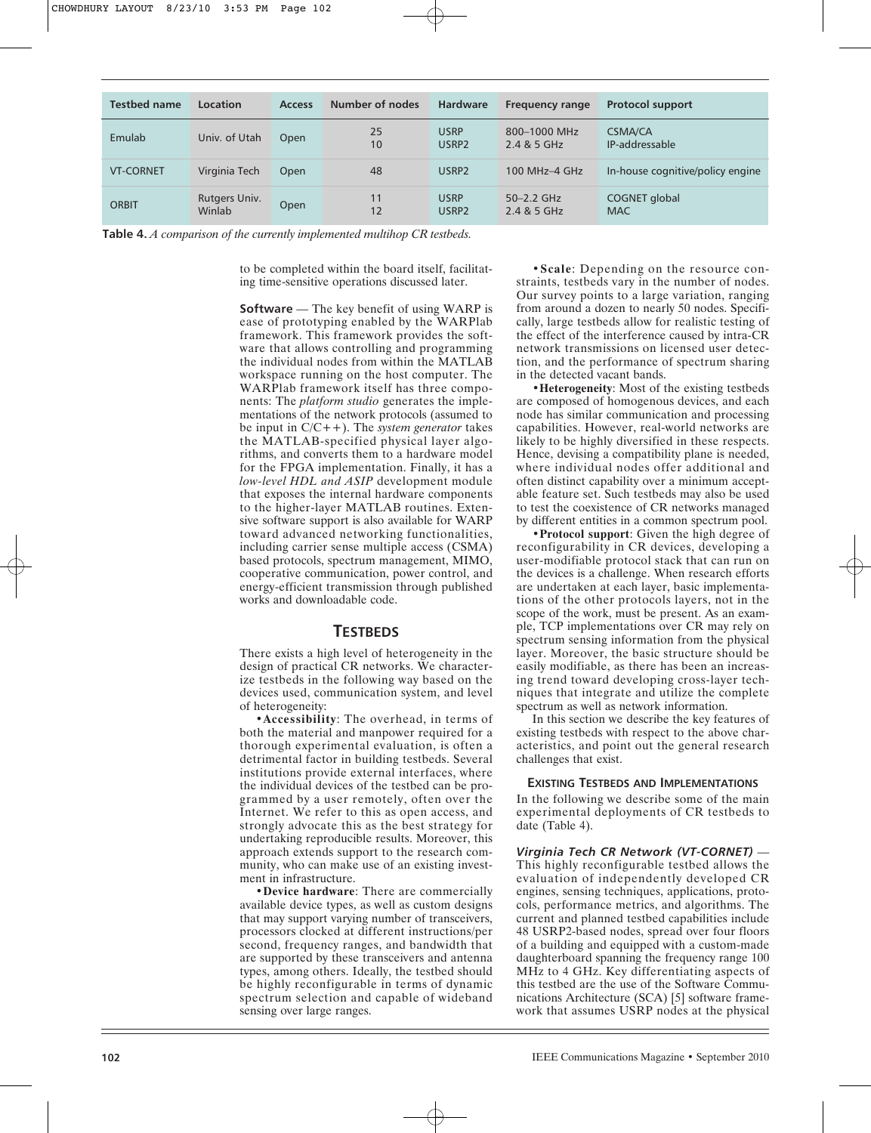| <b>Testbed name</b> | Location                | <b>Access</b> | Number of nodes | <b>Hardware</b>      | Frequency range               | <b>Protocol support</b>          |
|---------------------|-------------------------|---------------|-----------------|----------------------|-------------------------------|----------------------------------|
| Emulab              | Univ. of Utah           | <b>Open</b>   | 25<br>10        | <b>USRP</b><br>USRP2 | 800-1000 MHz<br>2.4 & 5 GHz   | <b>CSMA/CA</b><br>IP-addressable |
| <b>VT-CORNET</b>    | Virginia Tech           | Open          | 48              | USRP <sub>2</sub>    | 100 MHz-4 GHz                 | In-house cognitive/policy engine |
| <b>ORBIT</b>        | Rutgers Univ.<br>Winlab | Open          | 11<br>12        | <b>USRP</b><br>USRP2 | $50 - 2.2$ GHz<br>2.4 & 5 GHz | COGNET global<br><b>MAC</b>      |

**Table 4.** *A comparison of the currently implemented multihop CR testbeds.*

to be completed within the board itself, facilitating time-sensitive operations discussed later.

**Software** — The key benefit of using WARP is ease of prototyping enabled by the WARPlab framework. This framework provides the software that allows controlling and programming the individual nodes from within the MATLAB workspace running on the host computer. The WARPlab framework itself has three components: The *platform studio* generates the implementations of the network protocols (assumed to be input in C/C++). The *system generator* takes the MATLAB-specified physical layer algorithms, and converts them to a hardware model for the FPGA implementation. Finally, it has a *low-level HDL and ASIP* development module that exposes the internal hardware components to the higher-layer MATLAB routines. Extensive software support is also available for WARP toward advanced networking functionalities, including carrier sense multiple access (CSMA) based protocols, spectrum management, MIMO, cooperative communication, power control, and energy-efficient transmission through published works and downloadable code.

## **TESTBEDS**

There exists a high level of heterogeneity in the design of practical CR networks. We characterize testbeds in the following way based on the devices used, communication system, and level of heterogeneity:

•**Accessibility**: The overhead, in terms of both the material and manpower required for a thorough experimental evaluation, is often a detrimental factor in building testbeds. Several institutions provide external interfaces, where the individual devices of the testbed can be programmed by a user remotely, often over the Internet. We refer to this as open access, and strongly advocate this as the best strategy for undertaking reproducible results. Moreover, this approach extends support to the research community, who can make use of an existing investment in infrastructure.

•**Device hardware**: There are commercially available device types, as well as custom designs that may support varying number of transceivers, processors clocked at different instructions/per second, frequency ranges, and bandwidth that are supported by these transceivers and antenna types, among others. Ideally, the testbed should be highly reconfigurable in terms of dynamic spectrum selection and capable of wideband sensing over large ranges.

•**Scale**: Depending on the resource constraints, testbeds vary in the number of nodes. Our survey points to a large variation, ranging from around a dozen to nearly 50 nodes. Specifically, large testbeds allow for realistic testing of the effect of the interference caused by intra-CR network transmissions on licensed user detection, and the performance of spectrum sharing in the detected vacant bands.

•**Heterogeneity**: Most of the existing testbeds are composed of homogenous devices, and each node has similar communication and processing capabilities. However, real-world networks are likely to be highly diversified in these respects. Hence, devising a compatibility plane is needed, where individual nodes offer additional and often distinct capability over a minimum acceptable feature set. Such testbeds may also be used to test the coexistence of CR networks managed by different entities in a common spectrum pool.

•**Protocol support**: Given the high degree of reconfigurability in CR devices, developing a user-modifiable protocol stack that can run on the devices is a challenge. When research efforts are undertaken at each layer, basic implementations of the other protocols layers, not in the scope of the work, must be present. As an example, TCP implementations over CR may rely on spectrum sensing information from the physical layer. Moreover, the basic structure should be easily modifiable, as there has been an increasing trend toward developing cross-layer techniques that integrate and utilize the complete spectrum as well as network information.

In this section we describe the key features of existing testbeds with respect to the above characteristics, and point out the general research challenges that exist.

#### **EXISTING TESTBEDS AND IMPLEMENTATIONS**

In the following we describe some of the main experimental deployments of CR testbeds to date (Table 4).

*Virginia Tech CR Network (VT-CORNET)* — This highly reconfigurable testbed allows the evaluation of independently developed CR engines, sensing techniques, applications, protocols, performance metrics, and algorithms. The current and planned testbed capabilities include 48 USRP2-based nodes, spread over four floors of a building and equipped with a custom-made daughterboard spanning the frequency range 100 MHz to 4 GHz. Key differentiating aspects of this testbed are the use of the Software Communications Architecture (SCA) [5] software framework that assumes USRP nodes at the physical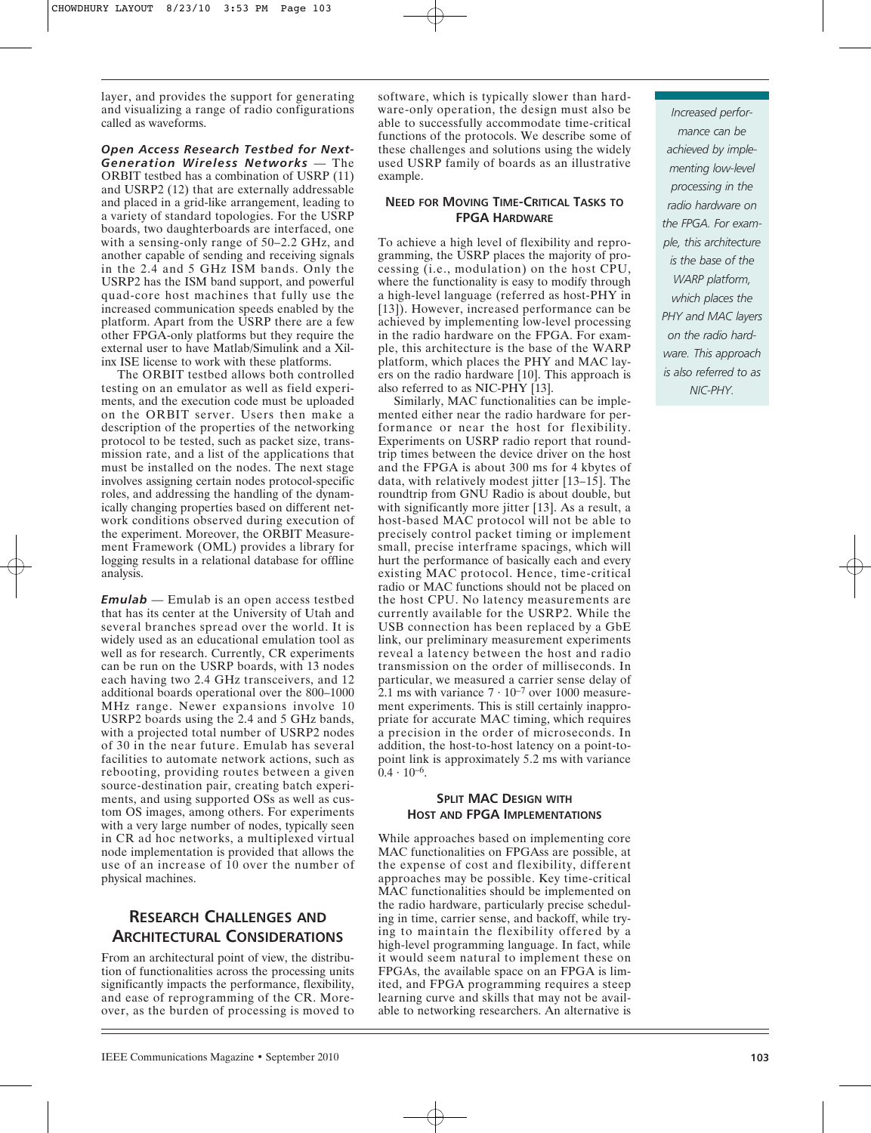layer, and provides the support for generating and visualizing a range of radio configurations called as waveforms.

*Open Access Research Testbed for Next-Generation Wireless Networks* — The ORBIT testbed has a combination of USRP (11) and USRP2 (12) that are externally addressable and placed in a grid-like arrangement, leading to a variety of standard topologies. For the USRP boards, two daughterboards are interfaced, one with a sensing-only range of 50–2.2 GHz, and another capable of sending and receiving signals in the 2.4 and 5 GHz ISM bands. Only the USRP2 has the ISM band support, and powerful quad-core host machines that fully use the increased communication speeds enabled by the platform. Apart from the USRP there are a few other FPGA-only platforms but they require the external user to have Matlab/Simulink and a Xilinx ISE license to work with these platforms.

The ORBIT testbed allows both controlled testing on an emulator as well as field experiments, and the execution code must be uploaded on the ORBIT server. Users then make a description of the properties of the networking protocol to be tested, such as packet size, transmission rate, and a list of the applications that must be installed on the nodes. The next stage involves assigning certain nodes protocol-specific roles, and addressing the handling of the dynamically changing properties based on different network conditions observed during execution of the experiment. Moreover, the ORBIT Measurement Framework (OML) provides a library for logging results in a relational database for offline analysis.

*Emulab* — Emulab is an open access testbed that has its center at the University of Utah and several branches spread over the world. It is widely used as an educational emulation tool as well as for research. Currently, CR experiments can be run on the USRP boards, with 13 nodes each having two 2.4 GHz transceivers, and 12 additional boards operational over the 800–1000 MHz range. Newer expansions involve 10 USRP2 boards using the 2.4 and 5 GHz bands, with a projected total number of USRP2 nodes of 30 in the near future. Emulab has several facilities to automate network actions, such as rebooting, providing routes between a given source-destination pair, creating batch experiments, and using supported OSs as well as custom OS images, among others. For experiments with a very large number of nodes, typically seen in CR ad hoc networks, a multiplexed virtual node implementation is provided that allows the use of an increase of 10 over the number of physical machines.

# **RESEARCH CHALLENGES AND ARCHITECTURAL CONSIDERATIONS**

From an architectural point of view, the distribution of functionalities across the processing units significantly impacts the performance, flexibility, and ease of reprogramming of the CR. Moreover, as the burden of processing is moved to software, which is typically slower than hardware-only operation, the design must also be able to successfully accommodate time-critical functions of the protocols. We describe some of these challenges and solutions using the widely used USRP family of boards as an illustrative example.

## **NEED FOR MOVING TIME-CRITICAL TASKS TO FPGA HARDWARE**

To achieve a high level of flexibility and reprogramming, the USRP places the majority of processing (i.e., modulation) on the host CPU, where the functionality is easy to modify through a high-level language (referred as host-PHY in [13]). However, increased performance can be achieved by implementing low-level processing in the radio hardware on the FPGA. For example, this architecture is the base of the WARP platform, which places the PHY and MAC layers on the radio hardware [10]. This approach is also referred to as NIC-PHY [13].

Similarly, MAC functionalities can be implemented either near the radio hardware for performance or near the host for flexibility. Experiments on USRP radio report that roundtrip times between the device driver on the host and the FPGA is about 300 ms for 4 kbytes of data, with relatively modest jitter [13–15]. The roundtrip from GNU Radio is about double, but with significantly more jitter [13]. As a result, a host-based MAC protocol will not be able to precisely control packet timing or implement small, precise interframe spacings, which will hurt the performance of basically each and every existing MAC protocol. Hence, time-critical radio or MAC functions should not be placed on the host CPU. No latency measurements are currently available for the USRP2. While the USB connection has been replaced by a GbE link, our preliminary measurement experiments reveal a latency between the host and radio transmission on the order of milliseconds. In particular, we measured a carrier sense delay of 2.1 ms with variance  $7 \cdot 10^{-7}$  over 1000 measurement experiments. This is still certainly inappropriate for accurate MAC timing, which requires a precision in the order of microseconds. In addition, the host-to-host latency on a point-topoint link is approximately 5.2 ms with variance  $0.4 \cdot 10^{-6}$ .

## **SPLIT MAC DESIGN WITH HOST AND FPGA IMPLEMENTATIONS**

While approaches based on implementing core MAC functionalities on FPGAss are possible, at the expense of cost and flexibility, different approaches may be possible. Key time-critical MAC functionalities should be implemented on the radio hardware, particularly precise scheduling in time, carrier sense, and backoff, while trying to maintain the flexibility offered by a high-level programming language. In fact, while it would seem natural to implement these on FPGAs, the available space on an FPGA is limited, and FPGA programming requires a steep learning curve and skills that may not be available to networking researchers. An alternative is

*Increased performance can be achieved by implementing low-level processing in the radio hardware on the FPGA. For example, this architecture is the base of the WARP platform, which places the PHY and MAC layers on the radio hardware. This approach is also referred to as NIC-PHY.*